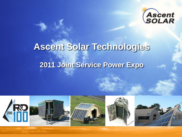

# **Ascent Solar Technologies 2011 Joint Service Power Expo**

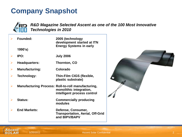# **Company Snapshot**



*R&D Magazine Selected Ascent as one of the 100 Most Innovative Technologies in 2010* 

 **Founded: 2005 (technology development started at ITN Energy Systems in early 1990's) IPO: July 2006 ►** Headquarters: Thornton, CO **Manufacturing: Colorado Technology: Thin-Film CIGS (flexible, plastic substrate) Manufacturing Process: Roll-to-roll manufacturing, monolithic integration, intelligent process control Status: Commercially producing modules End Markets: Defense, Consumer, Transportation, Aerial, Off-Grid and BIPV/BAPV** 



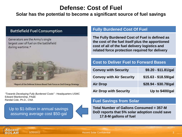### **Defense: Cost of Fuel**

### **Solar has the potential to become a significant source of fuel savings**

#### **Battlefield Fuel Consumption**

Generators are the Army's single largest user of fuel on the battlefield during wartime.\*



*"Towards Developing Fully Burdened Costs"* - Headquarters USMC Edward Blankenship, PA&E Randal Cole, Ph.D., CNA

Up to \$1-billion in annual savings assuming average cost \$50-gal



#### **Fully Burdened Cost Of Fuel**

**The Fully Burdened Cost of Fuel is defined as the cost of the fuel itself plus the apportioned cost of all of the fuel delivery logistics and related force protection required for delivery**

#### **Cost to Deliver Fuel to Forward Bases**

| <b>Convoy with Security</b>     | $$9.20 - $11.81/gal$  |
|---------------------------------|-----------------------|
| <b>Convoy with Air Security</b> | $$15.63 - $18.59/gal$ |
| <b>Air Drop</b>                 | \$28.94 - \$30.78/gal |
| <b>Air Drop with Security</b>   | Up to \$400/gal       |

#### **Fuel Savings from Solar**

**Total Number of Gallons Consumed = 357-M DoD reports that 5% solar adoption could save 17.8-M gallons of fuel**



5/20/2011 Ascent Solar Confidential 3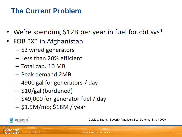# **The Current Problem**

- We're spending \$12B per year in fuel for cbt sys\*
- FOB "X" in Afghanistan
	- 53 wired generators
	- $-$  Less than 20% efficient
	- $-$  Total cap. 10 MB
	- Peak demand 2MB
	- 4900 gal for generators / day
	- $-$ \$10/gal (burdened)
	- $-$ \$49,000 for generator fuel / day
	- $-$  \$1.5M/mo; \$18M / year



Deloitte, Energy Security America's Best Defense, Study 2009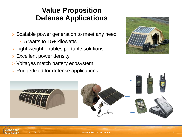# **Value Proposition Defense Applications**

- $\triangleright$  Scalable power generation to meet any need
	- 5 watts to 15+ kilowatts
- $\triangleright$  Light weight enables portable solutions
- $\triangleright$  Excellent power density
- $\triangleright$  Voltages match battery ecosystem
- $\triangleright$  Ruggedized for defense applications







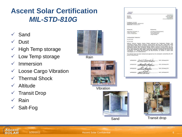# **Ascent Solar Certification** *MIL-STD-810G*

- $\checkmark$  Sand
- **Dust**
- $\checkmark$  High Temp storage
- $\times$  Low Temp storage
- $\checkmark$  Immersion
- Loose Cargo Vibration
- Thermal Shock
- $\checkmark$  Altitude
- $\checkmark$  Transit Drop
- Rain

Ascent **SOLAR** 

Salt-Fog



Rain



#### Vibration



**ATAS** Bangiji)<br>Tičrkički **SKILLECTH** Tuat Rapisk, 912/-0235<br>Parchése Bole Nuorder, 2014/02/15/12<br>Relacio Delo: 20 February 2013 Princeton Par **Parteinant**hy NIART Sow Technologies, Inc. NTS (Sisterial Technical System) 12:903 N. Team Rhad Ashare Today (Row)<br>1150 Pres: 27 Show)<br>Technol A2 Miller Originian, Estevado Militar **Test Recommence / Photocopes** sail Altri Artes **ARLIENS Arter** National Technical Systems Arabins Olvision performed Low Temperature Sterage Teorporature Storage, Altitude, Inneversion, Thermal Shock, Salt For, Rivin, Transit Drop, Looke, Tompenkure Storage, High Temperature Storage. Altitude, Immersion, Thermat Shock, Sait Pres. Rain, Tharact Drop, Loose Cargo Vitruiton, Blowing Dust, and Blowing Sand testing was performed Technologies, Inc. defined MIL-RTD-8100 and MIL-RTD-81SE, as directed in Assett Solar

The attemed resort this been reviewed and approved by the undersigned; representing the 289" Arizons Texting Distribution

|                    | 72250 |
|--------------------|-------|
|                    |       |
| ۲<br><b>STARTS</b> |       |



Sand Transit drop

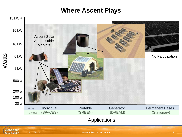### **Where Ascent Plays**



### Applications

Ascent<br>SOLAR

5/20/2011 Ascent Solar Confidential 7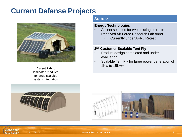### **Current Defense Projects**



Ascent Fabric laminated modules for large scalable system integration

#### **Status:**

#### **Energy Technologies**

- Ascent selected for two existing projects
- Received Air Force Research Lab order
	- Currently under AFRL Retest

#### **2 nd Customer Scalable Tent Fly**

- Product design completed and under evaluation
- Scalable Tent Fly for large power generation of 1Kw to 15Kw+



scent SOLAR

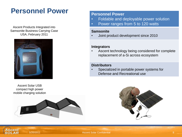## **Personnel Power**

Ascent Products Integrated into Samsonite Business Carrying Case USA, February 2011



Ascent Solar USB compact high power mobile charging solution

sceni



#### **Personnel Power**

- Foldable and deployable power solution
- Power ranges from 5 to 120 watts

#### **Samsonite**

• Joint product development since 2010

#### **Integrators**

Ascent technology being considered for complete replacement of a-Si across ecosystem

#### **Distributors**

• Specialized in portable power systems for Defense and Recreational use



#### 5/20/2011 Ascent Solar Confidential 9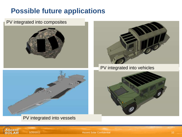# **Possible future applications**

### PV integrated into composites





### PV integrated into vessels

Ascent SOLAR



PV integrated into vehicles